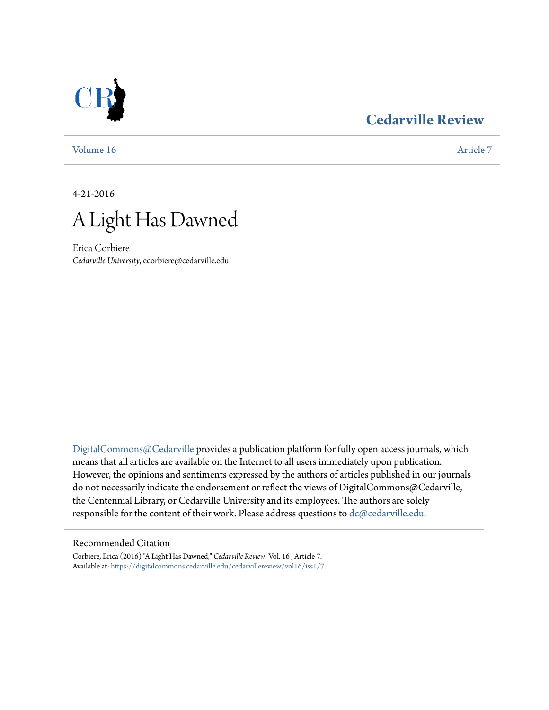### **[Cedarville Review](https://digitalcommons.cedarville.edu/cedarvillereview?utm_source=digitalcommons.cedarville.edu%2Fcedarvillereview%2Fvol16%2Fiss1%2F7&utm_medium=PDF&utm_campaign=PDFCoverPages)**



[Volume 16](https://digitalcommons.cedarville.edu/cedarvillereview/vol16?utm_source=digitalcommons.cedarville.edu%2Fcedarvillereview%2Fvol16%2Fiss1%2F7&utm_medium=PDF&utm_campaign=PDFCoverPages) [Article 7](https://digitalcommons.cedarville.edu/cedarvillereview/vol16/iss1/7?utm_source=digitalcommons.cedarville.edu%2Fcedarvillereview%2Fvol16%2Fiss1%2F7&utm_medium=PDF&utm_campaign=PDFCoverPages)

4-21-2016



Erica Corbiere *Cedarville University*, ecorbiere@cedarville.edu

[DigitalCommons@Cedarville](http://digitalcommons.cedarville.edu) provides a publication platform for fully open access journals, which means that all articles are available on the Internet to all users immediately upon publication. However, the opinions and sentiments expressed by the authors of articles published in our journals do not necessarily indicate the endorsement or reflect the views of DigitalCommons@Cedarville, the Centennial Library, or Cedarville University and its employees. The authors are solely responsible for the content of their work. Please address questions to [dc@cedarville.edu](mailto:dc@cedarville.edu).

#### Recommended Citation

Corbiere, Erica (2016) "A Light Has Dawned," *Cedarville Review*: Vol. 16 , Article 7. Available at: [https://digitalcommons.cedarville.edu/cedarvillereview/vol16/iss1/7](https://digitalcommons.cedarville.edu/cedarvillereview/vol16/iss1/7?utm_source=digitalcommons.cedarville.edu%2Fcedarvillereview%2Fvol16%2Fiss1%2F7&utm_medium=PDF&utm_campaign=PDFCoverPages)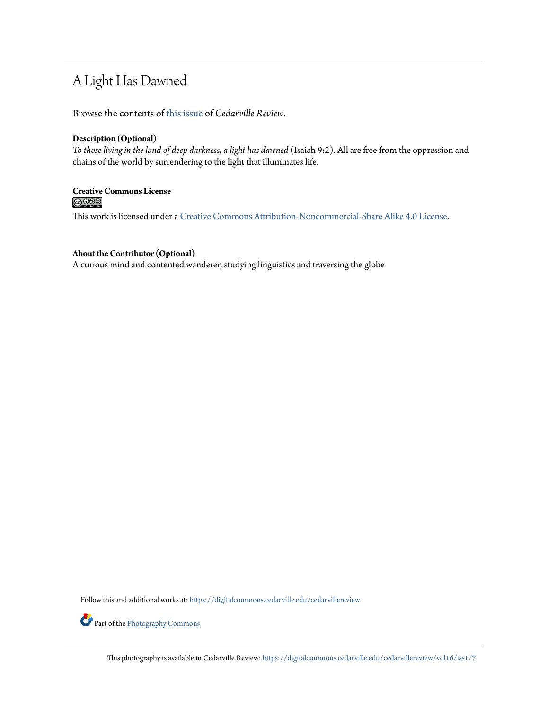## A Light Has Dawned

Browse the contents of [this issue](https://digitalcommons.cedarville.edu/cedarvillereview/vol16/iss1) of *Cedarville Review*.

#### **Description (Optional)**

*To those living in the land of deep darkness, a light has dawned* (Isaiah 9:2). All are free from the oppression and chains of the world by surrendering to the light that illuminates life.

# **Creative Commons License**

This work is licensed under a [Creative Commons Attribution-Noncommercial-Share Alike 4.0 License.](http://creativecommons.org/licenses/by-nc-sa/4.0/)

#### **About the Contributor (Optional)**

A curious mind and contented wanderer, studying linguistics and traversing the globe

Follow this and additional works at: [https://digitalcommons.cedarville.edu/cedarvillereview](https://digitalcommons.cedarville.edu/cedarvillereview?utm_source=digitalcommons.cedarville.edu%2Fcedarvillereview%2Fvol16%2Fiss1%2F7&utm_medium=PDF&utm_campaign=PDFCoverPages)

Part of the [Photography Commons](http://network.bepress.com/hgg/discipline/1142?utm_source=digitalcommons.cedarville.edu%2Fcedarvillereview%2Fvol16%2Fiss1%2F7&utm_medium=PDF&utm_campaign=PDFCoverPages)